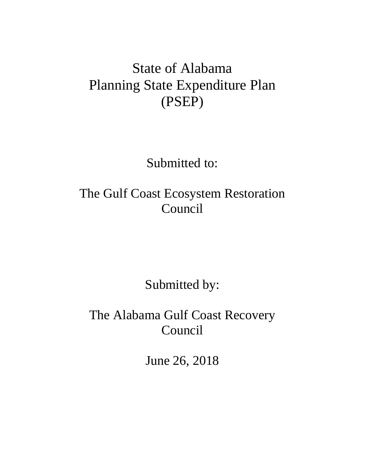# State of Alabama Planning State Expenditure Plan (PSEP)

Submitted to:

The Gulf Coast Ecosystem Restoration Council

Submitted by:

The Alabama Gulf Coast Recovery Council

June 26, 2018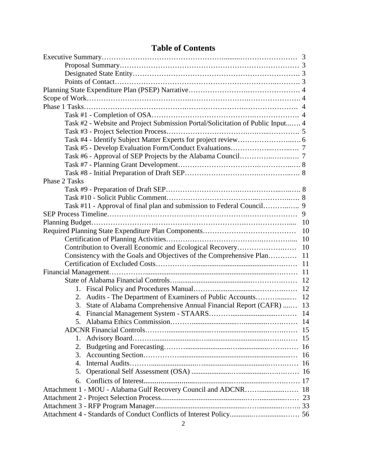|                                                                     | Task #2 - Website and Project Submission Portal/Solicitation of Public Input 4 |     |  |
|---------------------------------------------------------------------|--------------------------------------------------------------------------------|-----|--|
|                                                                     |                                                                                |     |  |
|                                                                     |                                                                                |     |  |
|                                                                     |                                                                                |     |  |
|                                                                     |                                                                                |     |  |
|                                                                     |                                                                                |     |  |
|                                                                     |                                                                                |     |  |
| Phase 2 Tasks                                                       |                                                                                |     |  |
|                                                                     |                                                                                |     |  |
|                                                                     |                                                                                |     |  |
|                                                                     | Task #11 - Approval of final plan and submission to Federal Council 9          |     |  |
|                                                                     |                                                                                |     |  |
|                                                                     |                                                                                | -10 |  |
|                                                                     |                                                                                |     |  |
|                                                                     |                                                                                |     |  |
| Contribution to Overall Economic and Ecological Recovery            |                                                                                | 10  |  |
| Consistency with the Goals and Objectives of the Comprehensive Plan |                                                                                | 11  |  |
|                                                                     |                                                                                | 11  |  |
|                                                                     |                                                                                | -11 |  |
|                                                                     |                                                                                |     |  |
|                                                                     |                                                                                |     |  |
|                                                                     | 2. Audits - The Department of Examiners of Public Accounts                     | 12  |  |
| 3.                                                                  | State of Alabama Comprehensive Annual Financial Report (CAFR)  13              |     |  |
| 4.                                                                  |                                                                                |     |  |
|                                                                     |                                                                                |     |  |
| -15                                                                 |                                                                                |     |  |
| 1.                                                                  |                                                                                | 15  |  |
| 2.                                                                  |                                                                                | 16  |  |
| 3.                                                                  |                                                                                | 16  |  |
| 4.                                                                  |                                                                                |     |  |
| 5.                                                                  |                                                                                |     |  |
| 6.                                                                  |                                                                                |     |  |
|                                                                     |                                                                                |     |  |
|                                                                     |                                                                                |     |  |
|                                                                     |                                                                                |     |  |
|                                                                     |                                                                                |     |  |
|                                                                     |                                                                                |     |  |

# **Table of Contents**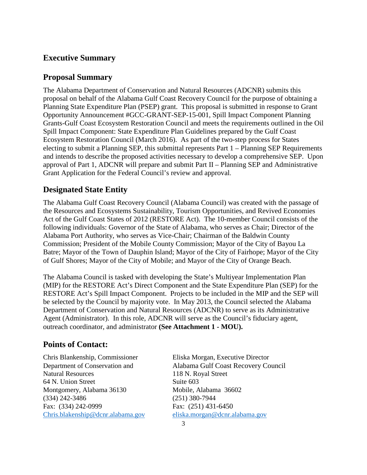## **Executive Summary**

## **Proposal Summary**

The Alabama Department of Conservation and Natural Resources (ADCNR) submits this proposal on behalf of the Alabama Gulf Coast Recovery Council for the purpose of obtaining a Planning State Expenditure Plan (PSEP) grant. This proposal is submitted in response to Grant Opportunity Announcement #GCC-GRANT-SEP-15-001, Spill Impact Component Planning Grants-Gulf Coast Ecosystem Restoration Council and meets the requirements outlined in the Oil Spill Impact Component: State Expenditure Plan Guidelines prepared by the Gulf Coast Ecosystem Restoration Council (March 2016). As part of the two-step process for States electing to submit a Planning SEP, this submittal represents Part 1 – Planning SEP Requirements and intends to describe the proposed activities necessary to develop a comprehensive SEP. Upon approval of Part 1, ADCNR will prepare and submit Part II – Planning SEP and Administrative Grant Application for the Federal Council's review and approval.

## **Designated State Entity**

The Alabama Gulf Coast Recovery Council (Alabama Council) was created with the passage of the Resources and Ecosystems Sustainability, Tourism Opportunities, and Revived Economies Act of the Gulf Coast States of 2012 (RESTORE Act). The 10-member Council consists of the following individuals: Governor of the State of Alabama, who serves as Chair; Director of the Alabama Port Authority, who serves as Vice-Chair; Chairman of the Baldwin County Commission; President of the Mobile County Commission; Mayor of the City of Bayou La Batre; Mayor of the Town of Dauphin Island; Mayor of the City of Fairhope; Mayor of the City of Gulf Shores; Mayor of the City of Mobile; and Mayor of the City of Orange Beach.

The Alabama Council is tasked with developing the State's Multiyear Implementation Plan (MIP) for the RESTORE Act's Direct Component and the State Expenditure Plan (SEP) for the RESTORE Act's Spill Impact Component. Projects to be included in the MIP and the SEP will be selected by the Council by majority vote. In May 2013, the Council selected the Alabama Department of Conservation and Natural Resources (ADCNR) to serve as its Administrative Agent (Administrator). In this role, ADCNR will serve as the Council's fiduciary agent, outreach coordinator, and administrator **(See Attachment 1 - MOU).**

## **Points of Contact:**

Chris Blankenship, Commissioner Eliska Morgan, Executive Director 64 N. Union Street Suite 603 Montgomery, Alabama 36130 Mobile, Alabama 36602 (334) 242-3486 (251) 380-7944 Fax: (334) 242-0999 Fax: (251) 431-6450 [Chris.blakenship@dcnr.alabama.gov](mailto:Chris.blakenship@dcnr.alabama.gov) [eliska.morgan@dcnr.alabama.gov](mailto:eliska.morgan@dcnr.alabama.gov)

Department of Conservation and Alabama Gulf Coast Recovery Council118 N. Royal Street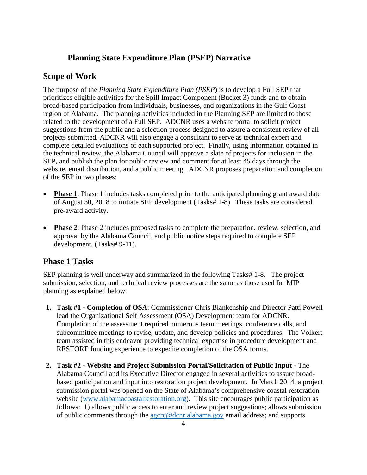## **Planning State Expenditure Plan (PSEP) Narrative**

## **Scope of Work**

The purpose of the *Planning State Expenditure Plan (PSEP*) is to develop a Full SEP that prioritizes eligible activities for the Spill Impact Component (Bucket 3) funds and to obtain broad-based participation from individuals, businesses, and organizations in the Gulf Coast region of Alabama. The planning activities included in the Planning SEP are limited to those related to the development of a Full SEP. ADCNR uses a website portal to solicit project suggestions from the public and a selection process designed to assure a consistent review of all projects submitted. ADCNR will also engage a consultant to serve as technical expert and complete detailed evaluations of each supported project. Finally, using information obtained in the technical review, the Alabama Council will approve a slate of projects for inclusion in the SEP, and publish the plan for public review and comment for at least 45 days through the website, email distribution, and a public meeting. ADCNR proposes preparation and completion of the SEP in two phases:

- **Phase 1**: Phase 1 includes tasks completed prior to the anticipated planning grant award date of August 30, 2018 to initiate SEP development (Tasks# 1-8). These tasks are considered pre-award activity.
- **Phase 2**: Phase 2 includes proposed tasks to complete the preparation, review, selection, and approval by the Alabama Council, and public notice steps required to complete SEP development. (Tasks# 9-11).

### **Phase 1 Tasks**

SEP planning is well underway and summarized in the following Tasks# 1-8. The project submission, selection, and technical review processes are the same as those used for MIP planning as explained below.

- **1. Task #1 Completion of OSA**: Commissioner Chris Blankenship and Director Patti Powell lead the Organizational Self Assessment (OSA) Development team for ADCNR. Completion of the assessment required numerous team meetings, conference calls, and subcommittee meetings to revise, update, and develop policies and procedures. The Volkert team assisted in this endeavor providing technical expertise in procedure development and RESTORE funding experience to expedite completion of the OSA forms.
- **2. Task #2 Website and Project Submission Portal/Solicitation of Public Input** The Alabama Council and its Executive Director engaged in several activities to assure broadbased participation and input into restoration project development. In March 2014, a project submission portal was opened on the State of Alabama's comprehensive coastal restoration website [\(www.alabamacoastalrestoration.org\)](http://www.alabamacoastalrestoration.org/). This site encourages public participation as follows: 1) allows public access to enter and review project suggestions; allows submission of public comments through the [agcrc@dcnr.alabama.gov](mailto:agcrc@dcnr.alabama.gov) email address; and supports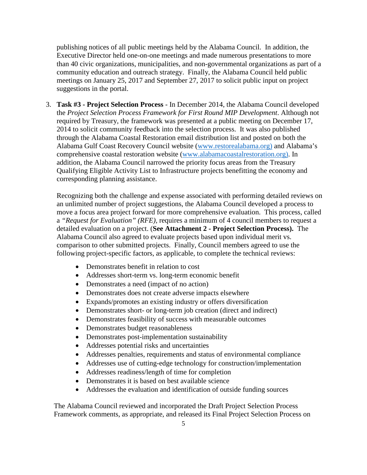publishing notices of all public meetings held by the Alabama Council. In addition, the Executive Director held one-on-one meetings and made numerous presentations to more than 40 civic organizations, municipalities, and non-governmental organizations as part of a community education and outreach strategy. Finally, the Alabama Council held public meetings on January 25, 2017 and September 27, 2017 to solicit public input on project suggestions in the portal.

3. **Task #3 - Project Selection Process** - In December 2014, the Alabama Council developed the *Project Selection Process Framework for First Round MIP Development*. Although not required by Treasury, the framework was presented at a public meeting on December 17, 2014 to solicit community feedback into the selection process. It was also published through the Alabama Coastal Restoration email distribution list and posted on both the Alabama Gulf Coast Recovery Council website [\(www.restorealabama.org\)](http://www.restorealabama.org/) and Alabama's comprehensive coastal restoration website [\(www.alabamacoastalrestoration.org\)](http://www.alabamacoastalrestoration.org/). In addition, the Alabama Council narrowed the priority focus areas from the Treasury Qualifying Eligible Activity List to Infrastructure projects benefitting the economy and corresponding planning assistance.

Recognizing both the challenge and expense associated with performing detailed reviews on an unlimited number of project suggestions, the Alabama Council developed a process to move a focus area project forward for more comprehensive evaluation. This process, called a *"Request for Evaluation" (RFE),* requires a minimum of 4 council members to request a detailed evaluation on a project. (**See Attachment 2 - Project Selection Process).** The Alabama Council also agreed to evaluate projects based upon individual merit vs. comparison to other submitted projects. Finally, Council members agreed to use the following project-specific factors, as applicable, to complete the technical reviews:

- Demonstrates benefit in relation to cost
- Addresses short-term vs. long-term economic benefit
- Demonstrates a need (impact of no action)
- Demonstrates does not create adverse impacts elsewhere
- Expands/promotes an existing industry or offers diversification
- Demonstrates short- or long-term job creation (direct and indirect)
- Demonstrates feasibility of success with measurable outcomes
- Demonstrates budget reasonableness
- Demonstrates post-implementation sustainability
- Addresses potential risks and uncertainties
- Addresses penalties, requirements and status of environmental compliance
- Addresses use of cutting-edge technology for construction/implementation
- Addresses readiness/length of time for completion
- Demonstrates it is based on best available science
- Addresses the evaluation and identification of outside funding sources

The Alabama Council reviewed and incorporated the Draft Project Selection Process Framework comments, as appropriate, and released its Final Project Selection Process on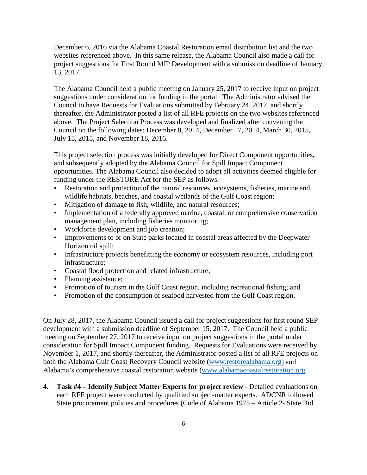December 6, 2016 via the Alabama Coastal Restoration email distribution list and the two websites referenced above. In this same release, the Alabama Council also made a call for project suggestions for First Round MIP Development with a submission deadline of January 13, 2017.

The Alabama Council held a public meeting on January 25, 2017 to receive input on project suggestions under consideration for funding in the portal. The Administrator advised the Council to have Requests for Evaluations submitted by February 24, 2017, and shortly thereafter, the Administrator posted a list of all RFE projects on the two websites referenced above. The Project Selection Process was developed and finalized after convening the Council on the following dates: December 8, 2014, December 17, 2014, March 30, 2015, July 15, 2015, and November 18, 2016.

This project selection process was initially developed for Direct Component opportunities, and subsequently adopted by the Alabama Council for Spill Impact Component opportunities. The Alabama Council also decided to adopt all activities deemed eligible for funding under the RESTORE Act for the SEP as follows:

- Restoration and protection of the natural resources, ecosystems, fisheries, marine and wildlife habitats, beaches, and coastal wetlands of the Gulf Coast region;
- Mitigation of damage to fish, wildlife, and natural resources;
- Implementation of a federally approved marine, coastal, or comprehensive conservation management plan, including fisheries monitoring;
- Workforce development and job creation;
- Improvements to or on State parks located in coastal areas affected by the Deepwater Horizon oil spill;
- Infrastructure projects benefitting the economy or ecosystem resources, including port infrastructure;
- Coastal flood protection and related infrastructure;
- Planning assistance;
- Promotion of tourism in the Gulf Coast region, including recreational fishing; and
- Promotion of the consumption of seafood harvested from the Gulf Coast region.

On July 28, 2017, the Alabama Council issued a call for project suggestions for first round SEP development with a submission deadline of September 15, 2017. The Council held a public meeting on September 27, 2017 to receive input on project suggestions in the portal under consideration for Spill Impact Component funding. Requests for Evaluations were received by November 1, 2017, and shortly thereafter, the Administrator posted a list of all RFE projects on both the Alabama Gulf Coast Recovery Council website [\(www.restorealabama.org\)](http://www.restorealabama.org/) and Alabama's comprehensive coastal restoration website [\(www.alabamacoastalrestoration.org](http://www.alabamacoastalrestoration.org/)

**4. Task #4 – Identify Subject Matter Experts for project review** - Detailed evaluations on each RFE project were conducted by qualified subject-matter experts. ADCNR followed State procurement policies and procedures (Code of Alabama 1975 – Article 2- State Bid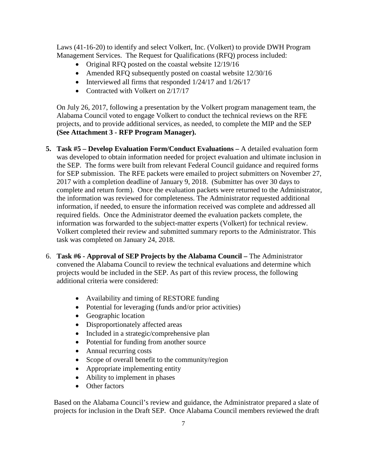Laws (41-16-20) to identify and select Volkert, Inc. (Volkert) to provide DWH Program Management Services. The Request for Qualifications (RFQ) process included:

- Original RFO posted on the coastal website  $12/19/16$
- Amended RFQ subsequently posted on coastal website  $12/30/16$
- Interviewed all firms that responded  $1/24/17$  and  $1/26/17$
- Contracted with Volkert on 2/17/17

On July 26, 2017, following a presentation by the Volkert program management team, the Alabama Council voted to engage Volkert to conduct the technical reviews on the RFE projects, and to provide additional services, as needed, to complete the MIP and the SEP **(See Attachment 3 - RFP Program Manager).** 

- **5. Task #5 Develop Evaluation Form/Conduct Evaluations** A detailed evaluation form was developed to obtain information needed for project evaluation and ultimate inclusion in the SEP. The forms were built from relevant Federal Council guidance and required forms for SEP submission. The RFE packets were emailed to project submitters on November 27, 2017 with a completion deadline of January 9, 2018. (Submitter has over 30 days to complete and return form). Once the evaluation packets were returned to the Administrator, the information was reviewed for completeness. The Administrator requested additional information, if needed, to ensure the information received was complete and addressed all required fields. Once the Administrator deemed the evaluation packets complete, the information was forwarded to the subject-matter experts (Volkert) for technical review. Volkert completed their review and submitted summary reports to the Administrator. This task was completed on January 24, 2018.
- 6. **Task #6 Approval of SEP Projects by the Alabama Council** The Administrator convened the Alabama Council to review the technical evaluations and determine which projects would be included in the SEP. As part of this review process, the following additional criteria were considered:
	- Availability and timing of RESTORE funding
	- Potential for leveraging (funds and/or prior activities)
	- Geographic location
	- Disproportionately affected areas
	- Included in a strategic/comprehensive plan
	- Potential for funding from another source
	- Annual recurring costs
	- Scope of overall benefit to the community/region
	- Appropriate implementing entity
	- Ability to implement in phases
	- Other factors

Based on the Alabama Council's review and guidance, the Administrator prepared a slate of projects for inclusion in the Draft SEP. Once Alabama Council members reviewed the draft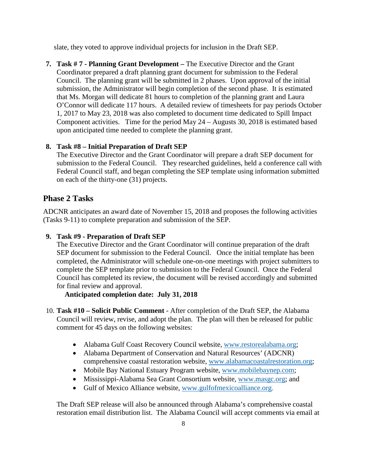slate, they voted to approve individual projects for inclusion in the Draft SEP.

**7. Task # 7 - Planning Grant Development –** The Executive Director and the Grant Coordinator prepared a draft planning grant document for submission to the Federal Council. The planning grant will be submitted in 2 phases. Upon approval of the initial submission, the Administrator will begin completion of the second phase. It is estimated that Ms. Morgan will dedicate 81 hours to completion of the planning grant and Laura O'Connor will dedicate 117 hours. A detailed review of timesheets for pay periods October 1, 2017 to May 23, 2018 was also completed to document time dedicated to Spill Impact Component activities. Time for the period May 24 – Augusts 30, 2018 is estimated based upon anticipated time needed to complete the planning grant.

#### **8. Task #8 – Initial Preparation of Draft SEP**

The Executive Director and the Grant Coordinator will prepare a draft SEP document for submission to the Federal Council. They researched guidelines, held a conference call with Federal Council staff, and began completing the SEP template using information submitted on each of the thirty-one (31) projects.

## **Phase 2 Tasks**

ADCNR anticipates an award date of November 15, 2018 and proposes the following activities (Tasks 9-11) to complete preparation and submission of the SEP.

#### **9. Task #9 - Preparation of Draft SEP**

The Executive Director and the Grant Coordinator will continue preparation of the draft SEP document for submission to the Federal Council. Once the initial template has been completed, the Administrator will schedule one-on-one meetings with project submitters to complete the SEP template prior to submission to the Federal Council. Once the Federal Council has completed its review, the document will be revised accordingly and submitted for final review and approval.

**Anticipated completion date: July 31, 2018** 

- 10. **Task #10 Solicit Public Comment** After completion of the Draft SEP, the Alabama Council will review, revise, and adopt the plan. The plan will then be released for public comment for 45 days on the following websites:
	- Alabama Gulf Coast Recovery Council website, [www.restorealabama.org;](http://www.restorealabama.org/)
	- Alabama Department of Conservation and Natural Resources' (ADCNR) comprehensive coastal restoration website, [www.alabamacoastalrestoration.org;](http://www.alabamacoastalrestoration.org/)
	- Mobile Bay National Estuary Program website, [www.mobilebaynep.com;](http://www.mobilebaynep.com/)
	- Mississippi-Alabama Sea Grant Consortium website, [www.masgc.org;](http://www.masgc.org/) and
	- Gulf of Mexico Alliance website, [www.gulfofmexicoalliance.org.](http://www.gulfofmexicoalliance.org/)

The Draft SEP release will also be announced through Alabama's comprehensive coastal restoration email distribution list. The Alabama Council will accept comments via email at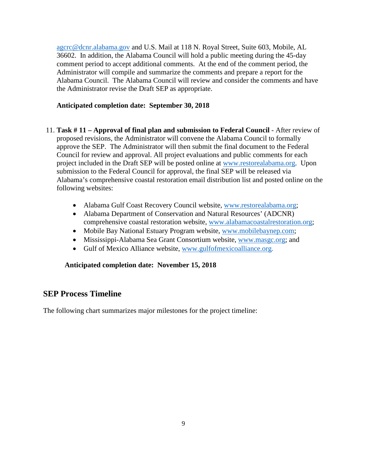[agcrc@dcnr.alabama.gov](mailto:agcrc@dcnr.alabama.gov) and U.S. Mail at 118 N. Royal Street, Suite 603, Mobile, AL 36602. In addition, the Alabama Council will hold a public meeting during the 45-day comment period to accept additional comments. At the end of the comment period, the Administrator will compile and summarize the comments and prepare a report for the Alabama Council. The Alabama Council will review and consider the comments and have the Administrator revise the Draft SEP as appropriate.

#### **Anticipated completion date: September 30, 2018**

- 11. **Task # 11 Approval of final plan and submission to Federal Council** After review of proposed revisions, the Administrator will convene the Alabama Council to formally approve the SEP. The Administrator will then submit the final document to the Federal Council for review and approval. All project evaluations and public comments for each project included in the Draft SEP will be posted online at [www.restorealabama.org.](http://www.restorealabama.org/) Upon submission to the Federal Council for approval, the final SEP will be released via Alabama's comprehensive coastal restoration email distribution list and posted online on the following websites:
	- Alabama Gulf Coast Recovery Council website, [www.restorealabama.org;](http://www.restorealabama.org/)
	- Alabama Department of Conservation and Natural Resources' (ADCNR) comprehensive coastal restoration website, [www.alabamacoastalrestoration.org;](http://www.alabamacoastalrestoration.org/)
	- Mobile Bay National Estuary Program website, [www.mobilebaynep.com;](http://www.mobilebaynep.com/)
	- Mississippi-Alabama Sea Grant Consortium website, [www.masgc.org;](http://www.masgc.org/) and
	- Gulf of Mexico Alliance website, [www.gulfofmexicoalliance.org.](http://www.gulfofmexicoalliance.org/)

#### **Anticipated completion date: November 15, 2018**

### **SEP Process Timeline**

The following chart summarizes major milestones for the project timeline: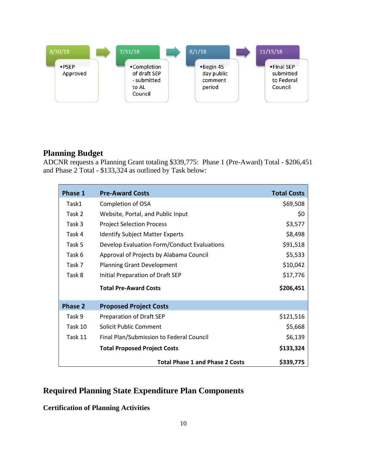

## **Planning Budget**

ADCNR requests a Planning Grant totaling \$339,775: Phase 1 (Pre-Award) Total - \$206,451 and Phase 2 Total - \$133,324 as outlined by Task below:

| Phase 1        | <b>Pre-Award Costs</b>                      | <b>Total Costs</b> |
|----------------|---------------------------------------------|--------------------|
| Task1          | Completion of OSA                           | \$69,508           |
| Task 2         | Website, Portal, and Public Input           | \$0                |
| Task 3         | <b>Project Selection Process</b>            | \$3,577            |
| Task 4         | <b>Identify Subject Matter Experts</b>      | \$8,498            |
| Task 5         | Develop Evaluation Form/Conduct Evaluations | \$91,518           |
| Task 6         | Approval of Projects by Alabama Council     | \$5,533            |
| Task 7         | <b>Planning Grant Development</b>           | \$10,042           |
| Task 8         | Initial Preparation of Draft SEP            | \$17,776           |
|                | <b>Total Pre-Award Costs</b>                | \$206,451          |
| <b>Phase 2</b> | <b>Proposed Project Costs</b>               |                    |
| Task 9         | Preparation of Draft SEP                    | \$121,516          |
| Task 10        | Solicit Public Comment                      | \$5,668            |
| Task 11        | Final Plan/Submission to Federal Council    | \$6,139            |
|                | <b>Total Proposed Project Costs</b>         | \$133,324          |
|                | <b>Total Phase 1 and Phase 2 Costs</b>      | \$339,775          |

# **Required Planning State Expenditure Plan Components**

**Certification of Planning Activities**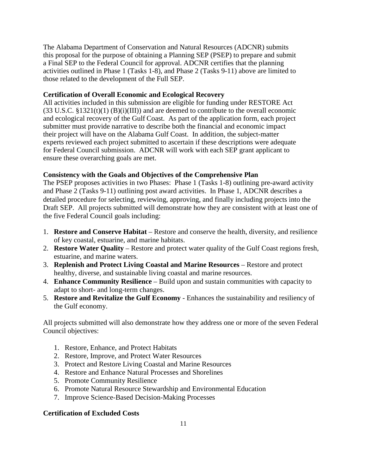The Alabama Department of Conservation and Natural Resources (ADCNR) submits this proposal for the purpose of obtaining a Planning SEP (PSEP) to prepare and submit a Final SEP to the Federal Council for approval. ADCNR certifies that the planning activities outlined in Phase 1 (Tasks 1-8), and Phase 2 (Tasks 9-11) above are limited to those related to the development of the Full SEP.

#### **Certification of Overall Economic and Ecological Recovery**

All activities included in this submission are eligible for funding under RESTORE Act  $(33 \text{ U.S.C. } $1321(t)(1) \text{ (B)}(i)(III))$  and are deemed to contribute to the overall economic and ecological recovery of the Gulf Coast. As part of the application form, each project submitter must provide narrative to describe both the financial and economic impact their project will have on the Alabama Gulf Coast. In addition, the subject-matter experts reviewed each project submitted to ascertain if these descriptions were adequate for Federal Council submission. ADCNR will work with each SEP grant applicant to ensure these overarching goals are met.

#### **Consistency with the Goals and Objectives of the Comprehensive Plan**

The PSEP proposes activities in two Phases: Phase 1 (Tasks 1-8) outlining pre-award activity and Phase 2 (Tasks 9-11) outlining post award activities. In Phase 1, ADCNR describes a detailed procedure for selecting, reviewing, approving, and finally including projects into the Draft SEP. All projects submitted will demonstrate how they are consistent with at least one of the five Federal Council goals including:

- 1. **Restore and Conserve Habitat** Restore and conserve the health, diversity, and resilience of key coastal, estuarine, and marine habitats.
- 2. **Restore Water Quality** Restore and protect water quality of the Gulf Coast regions fresh, estuarine, and marine waters.
- 3. **Replenish and Protect Living Coastal and Marine Resources** Restore and protect healthy, diverse, and sustainable living coastal and marine resources.
- 4. **Enhance Community Resilience** Build upon and sustain communities with capacity to adapt to short- and long-term changes.
- 5. **Restore and Revitalize the Gulf Economy** Enhances the sustainability and resiliency of the Gulf economy.

All projects submitted will also demonstrate how they address one or more of the seven Federal Council objectives:

- 1. Restore, Enhance, and Protect Habitats
- 2. Restore, Improve, and Protect Water Resources
- 3. Protect and Restore Living Coastal and Marine Resources
- 4. Restore and Enhance Natural Processes and Shorelines
- 5. Promote Community Resilience
- 6. Promote Natural Resource Stewardship and Environmental Education
- 7. Improve Science-Based Decision-Making Processes

#### **Certification of Excluded Costs**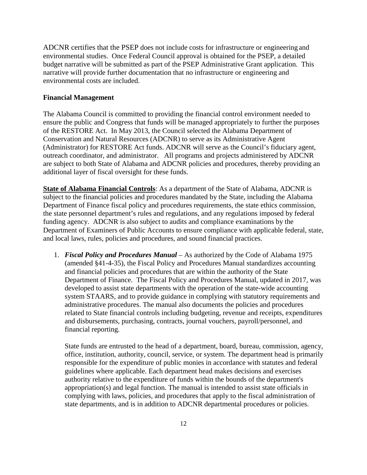ADCNR certifies that the PSEP does not include costs for infrastructure or engineering and environmental studies. Once Federal Council approval is obtained for the PSEP, a detailed budget narrative will be submitted as part of the PSEP Administrative Grant application. This narrative will provide further documentation that no infrastructure or engineering and environmental costs are included.

#### **Financial Management**

The Alabama Council is committed to providing the financial control environment needed to ensure the public and Congress that funds will be managed appropriately to further the purposes of the RESTORE Act. In May 2013, the Council selected the Alabama Department of Conservation and Natural Resources (ADCNR) to serve as its Administrative Agent (Administrator) for RESTORE Act funds. ADCNR will serve as the Council's fiduciary agent, outreach coordinator, and administrator. All programs and projects administered by ADCNR are subject to both State of Alabama and ADCNR policies and procedures, thereby providing an additional layer of fiscal oversight for these funds.

**State of Alabama Financial Controls**: As a department of the State of Alabama, ADCNR is subject to the financial policies and procedures mandated by the State, including the Alabama Department of Finance fiscal policy and procedures requirements, the state ethics commission, the state personnel department's rules and regulations, and any regulations imposed by federal funding agency. ADCNR is also subject to audits and compliance examinations by the Department of Examiners of Public Accounts to ensure compliance with applicable federal, state, and local laws, rules, policies and procedures, and sound financial practices.

1. *Fiscal Policy and Procedures Manual* – As authorized by the Code of Alabama 1975 (amended §41-4-35), the Fiscal Policy and Procedures Manual standardizes accounting and financial policies and procedures that are within the authority of the State Department of Finance. The Fiscal Policy and Procedures Manual, updated in 2017, was developed to assist state departments with the operation of the state-wide accounting system STAARS, and to provide guidance in complying with statutory requirements and administrative procedures. The manual also documents the policies and procedures related to State financial controls including budgeting, revenue and receipts, expenditures and disbursements, purchasing, contracts, journal vouchers, payroll/personnel, and financial reporting.

State funds are entrusted to the head of a department, board, bureau, commission, agency, office, institution, authority, council, service, or system. The department head is primarily responsible for the expenditure of public monies in accordance with statutes and federal guidelines where applicable. Each department head makes decisions and exercises authority relative to the expenditure of funds within the bounds of the department's appropriation(s) and legal function. The manual is intended to assist state officials in complying with laws, policies, and procedures that apply to the fiscal administration of state departments, and is in addition to ADCNR departmental procedures or policies.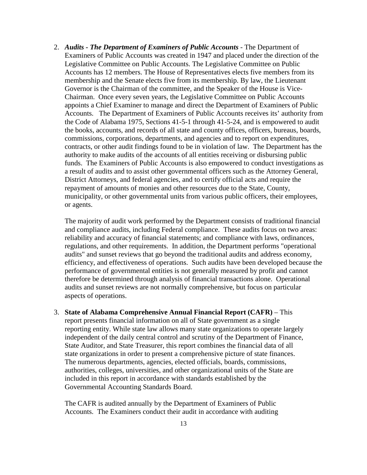2. *Audits - The Department of Examiners of Public Accounts* - The Department of Examiners of Public Accounts was created in 1947 and placed under the direction of the Legislative Committee on Public Accounts. The Legislative Committee on Public Accounts has 12 members. The House of Representatives elects five members from its membership and the Senate elects five from its membership. By law, the Lieutenant Governor is the Chairman of the committee, and the Speaker of the House is Vice-Chairman. Once every seven years, the Legislative Committee on Public Accounts appoints a Chief Examiner to manage and direct the Department of Examiners of Public Accounts. The Department of Examiners of Public Accounts receives its' authority from the Code of Alabama 1975, Sections 41-5-1 through 41-5-24, and is empowered to audit the books, accounts, and records of all state and county offices, officers, bureaus, boards, commissions, corporations, departments, and agencies and to report on expenditures, contracts, or other audit findings found to be in violation of law. The Department has the authority to make audits of the accounts of all entities receiving or disbursing public funds. The Examiners of Public Accounts is also empowered to conduct investigations as a result of audits and to assist other governmental officers such as the Attorney General, District Attorneys, and federal agencies, and to certify official acts and require the repayment of amounts of monies and other resources due to the State, County, municipality, or other governmental units from various public officers, their employees, or agents.

The majority of audit work performed by the Department consists of traditional financial and compliance audits, including Federal compliance. These audits focus on two areas: reliability and accuracy of financial statements; and compliance with laws, ordinances, regulations, and other requirements. In addition, the Department performs "operational audits" and sunset reviews that go beyond the traditional audits and address economy, efficiency, and effectiveness of operations. Such audits have been developed because the performance of governmental entities is not generally measured by profit and cannot therefore be determined through analysis of financial transactions alone. Operational audits and sunset reviews are not normally comprehensive, but focus on particular aspects of operations.

3. **State of Alabama Comprehensive Annual Financial Report (CAFR)** – This report presents financial information on all of State government as a single reporting entity. While state law allows many state organizations to operate largely independent of the daily central control and scrutiny of the Department of Finance, State Auditor, and State Treasurer, this report combines the financial data of all state organizations in order to present a comprehensive picture of state finances. The numerous departments, agencies, elected officials, boards, commissions, authorities, colleges, universities, and other organizational units of the State are included in this report in accordance with standards established by the Governmental Accounting Standards Board.

The CAFR is audited annually by the Department of Examiners of Public Accounts. The Examiners conduct their audit in accordance with auditing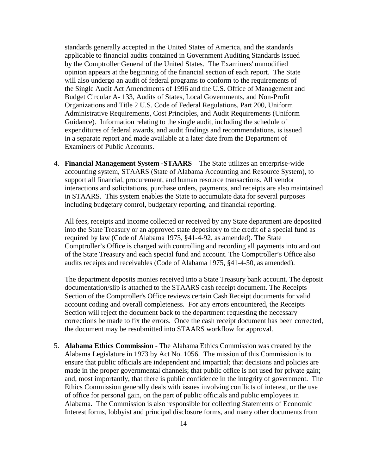standards generally accepted in the United States of America, and the standards applicable to financial audits contained in Government Auditing Standards issued by the Comptroller General of the United States. The Examiners' unmodified opinion appears at the beginning of the financial section of each report. The State will also undergo an audit of federal programs to conform to the requirements of the Single Audit Act Amendments of 1996 and the U.S. Office of Management and Budget Circular A- 133, Audits of States, Local Governments, and Non-Profit Organizations and Title 2 U.S. Code of Federal Regulations, Part 200, Uniform Administrative Requirements, Cost Principles, and Audit Requirements (Uniform Guidance). Information relating to the single audit, including the schedule of expenditures of federal awards, and audit findings and recommendations, is issued in a separate report and made available at a later date from the Department of Examiners of Public Accounts.

4. **Financial Management System -STAARS** – The State utilizes an enterprise-wide accounting system, STAARS (State of Alabama Accounting and Resource System), to support all financial, procurement, and human resource transactions. All vendor interactions and solicitations, purchase orders, payments, and receipts are also maintained in STAARS. This system enables the State to accumulate data for several purposes including budgetary control, budgetary reporting, and financial reporting.

All fees, receipts and income collected or received by any State department are deposited into the State Treasury or an approved state depository to the credit of a special fund as required by law (Code of Alabama 1975, §41-4-92, as amended). The State Comptroller's Office is charged with controlling and recording all payments into and out of the State Treasury and each special fund and account. The Comptroller's Office also audits receipts and receivables (Code of Alabama 1975, §41-4-50, as amended).

The department deposits monies received into a State Treasury bank account. The deposit documentation/slip is attached to the STAARS cash receipt document. The Receipts Section of the Comptroller's Office reviews certain Cash Receipt documents for valid account coding and overall completeness. For any errors encountered, the Receipts Section will reject the document back to the department requesting the necessary corrections be made to fix the errors. Once the cash receipt document has been corrected, the document may be resubmitted into STAARS workflow for approval.

5. **Alabama Ethics Commission** - The Alabama Ethics Commission was created by the Alabama Legislature in 1973 by Act No. 1056. The mission of this Commission is to ensure that public officials are independent and impartial; that decisions and policies are made in the proper governmental channels; that public office is not used for private gain; and, most importantly, that there is public confidence in the integrity of government. The Ethics Commission generally deals with issues involving conflicts of interest, or the use of office for personal gain, on the part of public officials and public employees in Alabama. The Commission is also responsible for collecting Statements of Economic Interest forms, lobbyist and principal disclosure forms, and many other documents from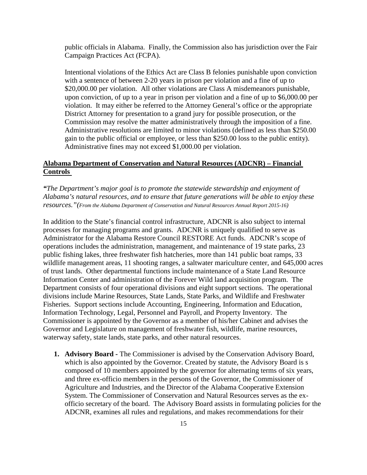public officials in Alabama. Finally, the Commission also has jurisdiction over the Fair Campaign Practices Act (FCPA).

Intentional violations of the Ethics Act are Class B felonies punishable upon conviction with a sentence of between 2-20 years in prison per violation and a fine of up to \$20,000.00 per violation. All other violations are Class A misdemeanors punishable, upon conviction, of up to a year in prison per violation and a fine of up to \$6,000.00 per violation. It may either be referred to the Attorney General's office or the appropriate District Attorney for presentation to a grand jury for possible prosecution, or the Commission may resolve the matter administratively through the imposition of a fine. Administrative resolutions are limited to minor violations (defined as less than \$250.00 gain to the public official or employee, or less than \$250.00 loss to the public entity). Administrative fines may not exceed \$1,000.00 per violation.

#### **Alabama Department of Conservation and Natural Resources (ADCNR) – Financial Controls**

*"The Department's major goal is to promote the statewide stewardship and enjoyment of Alabama's natural resources, and to ensure that future generations will be able to enjoy these resources."(From the Alabama Department of Conservation and Natural Resources Annual Report 2015-16)*

In addition to the State's financial control infrastructure, ADCNR is also subject to internal processes for managing programs and grants. ADCNR is uniquely qualified to serve as Administrator for the Alabama Restore Council RESTORE Act funds. ADCNR's scope of operations includes the administration, management, and maintenance of 19 state parks, 23 public fishing lakes, three freshwater fish hatcheries, more than 141 public boat ramps, 33 wildlife management areas, 11 shooting ranges, a saltwater mariculture center, and 645,000 acres of trust lands. Other departmental functions include maintenance of a State Land Resource Information Center and administration of the Forever Wild land acquisition program. The Department consists of four operational divisions and eight support sections. The operational divisions include Marine Resources, State Lands, State Parks, and Wildlife and Freshwater Fisheries. Support sections include Accounting, Engineering, Information and Education, Information Technology, Legal, Personnel and Payroll, and Property Inventory. The Commissioner is appointed by the Governor as a member of his/her Cabinet and advises the Governor and Legislature on management of freshwater fish, wildlife, marine resources, waterway safety, state lands, state parks, and other natural resources.

**1. Advisory Board -** The Commissioner is advised by the Conservation Advisory Board, which is also appointed by the Governor. Created by statute, the Advisory Board is s composed of 10 members appointed by the governor for alternating terms of six years, and three ex-officio members in the persons of the Governor, the Commissioner of Agriculture and Industries, and the Director of the Alabama Cooperative Extension System. The Commissioner of Conservation and Natural Resources serves as the exofficio secretary of the board. The Advisory Board assists in formulating policies for the ADCNR, examines all rules and regulations, and makes recommendations for their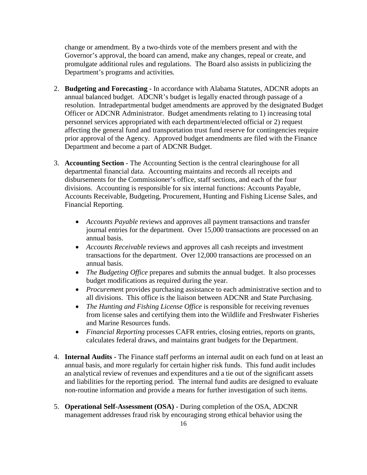change or amendment. By a two-thirds vote of the members present and with the Governor's approval, the board can amend, make any changes, repeal or create, and promulgate additional rules and regulations. The Board also assists in publicizing the Department's programs and activities.

- 2. **Budgeting and Forecasting -** In accordance with Alabama Statutes, ADCNR adopts an annual balanced budget. ADCNR's budget is legally enacted through passage of a resolution. Intradepartmental budget amendments are approved by the designated Budget Officer or ADCNR Administrator. Budget amendments relating to 1) increasing total personnel services appropriated with each department/elected official or 2) request affecting the general fund and transportation trust fund reserve for contingencies require prior approval of the Agency. Approved budget amendments are filed with the Finance Department and become a part of ADCNR Budget.
- 3. **Accounting Section**  The Accounting Section is the central clearinghouse for all departmental financial data. Accounting maintains and records all receipts and disbursements for the Commissioner's office, staff sections, and each of the four divisions. Accounting is responsible for six internal functions: Accounts Payable, Accounts Receivable, Budgeting, Procurement, Hunting and Fishing License Sales, and Financial Reporting.
	- *Accounts Payable* reviews and approves all payment transactions and transfer journal entries for the department. Over 15,000 transactions are processed on an annual basis.
	- *Accounts Receivable* reviews and approves all cash receipts and investment transactions for the department. Over 12,000 transactions are processed on an annual basis.
	- *The Budgeting Office* prepares and submits the annual budget. It also processes budget modifications as required during the year.
	- *Procuremen*t provides purchasing assistance to each administrative section and to all divisions. This office is the liaison between ADCNR and State Purchasing.
	- *The Hunting and Fishing License Office* is responsible for receiving revenues from license sales and certifying them into the Wildlife and Freshwater Fisheries and Marine Resources funds.
	- *Financial Reporting* processes CAFR entries, closing entries, reports on grants, calculates federal draws, and maintains grant budgets for the Department.
- 4. **Internal Audits -** The Finance staff performs an internal audit on each fund on at least an annual basis, and more regularly for certain higher risk funds. This fund audit includes an analytical review of revenues and expenditures and a tie out of the significant assets and liabilities for the reporting period. The internal fund audits are designed to evaluate non‐routine information and provide a means for further investigation of such items.
- 5. **Operational Self-Assessment (OSA)** During completion of the OSA, ADCNR management addresses fraud risk by encouraging strong ethical behavior using the